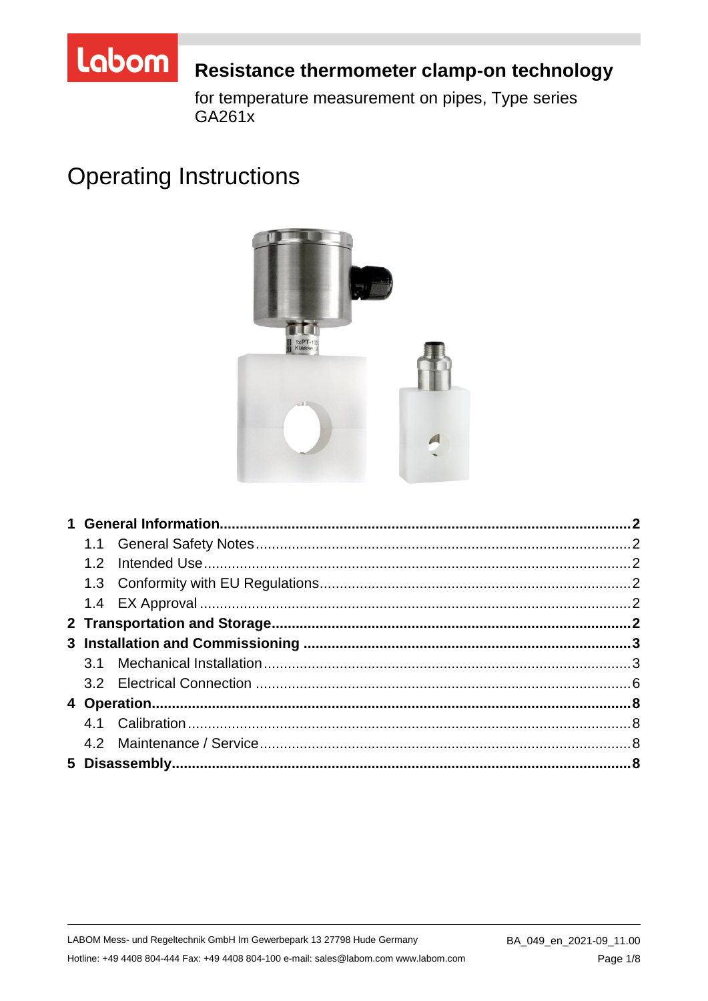

# Resistance thermometer clamp-on technology

for temperature measurement on pipes, Type series GA261x

# **Operating Instructions**



LABOM Mess- und Regeltechnik GmbH Im Gewerbepark 13 27798 Hude Germany Hotline: +49 4408 804-444 Fax: +49 4408 804-100 e-mail: sales@labom.com www.labom.com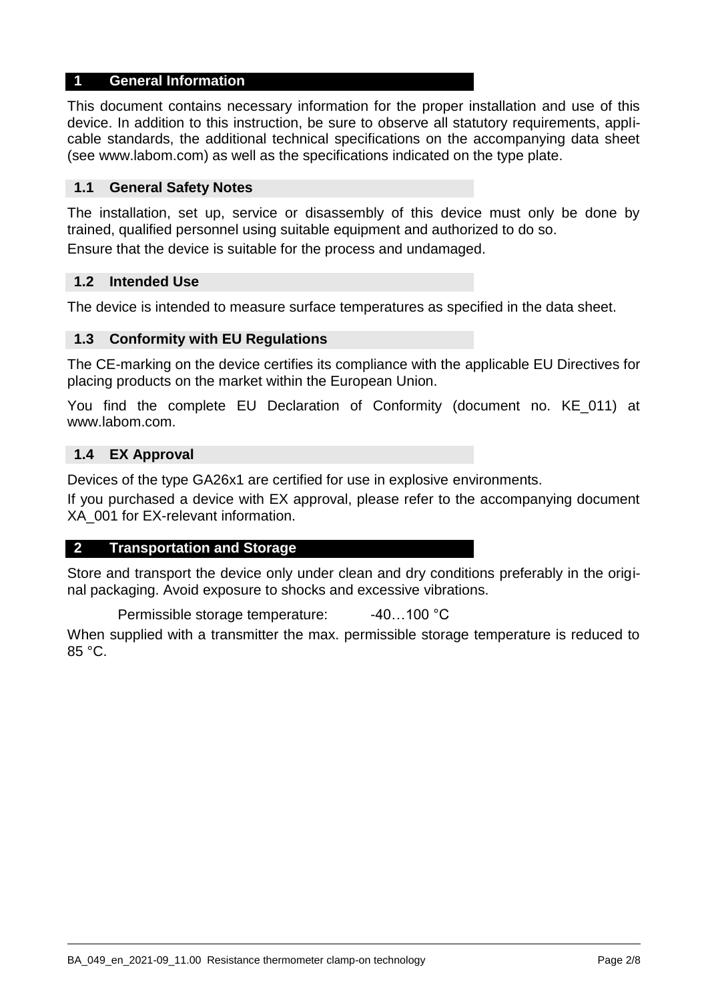#### **1 General Information**

This document contains necessary information for the proper installation and use of this device. In addition to this instruction, be sure to observe all statutory requirements, applicable standards, the additional technical specifications on the accompanying data sheet (see www.labom.com) as well as the specifications indicated on the type plate.

#### **1.1 General Safety Notes**

The installation, set up, service or disassembly of this device must only be done by trained, qualified personnel using suitable equipment and authorized to do so.

Ensure that the device is suitable for the process and undamaged.

#### **1.2 Intended Use**

The device is intended to measure surface temperatures as specified in the data sheet.

#### **1.3 Conformity with EU Regulations**

The CE-marking on the device certifies its compliance with the applicable EU Directives for placing products on the market within the European Union.

You find the complete EU Declaration of Conformity (document no. KE\_011) at www.labom.com.

#### **1.4 EX Approval**

Devices of the type GA26x1 are certified for use in explosive environments.

If you purchased a device with EX approval, please refer to the accompanying document XA\_001 for EX-relevant information.

#### **2 Transportation and Storage**

Store and transport the device only under clean and dry conditions preferably in the original packaging. Avoid exposure to shocks and excessive vibrations.

Permissible storage temperature: -40...100 °C

When supplied with a transmitter the max. permissible storage temperature is reduced to 85 °C.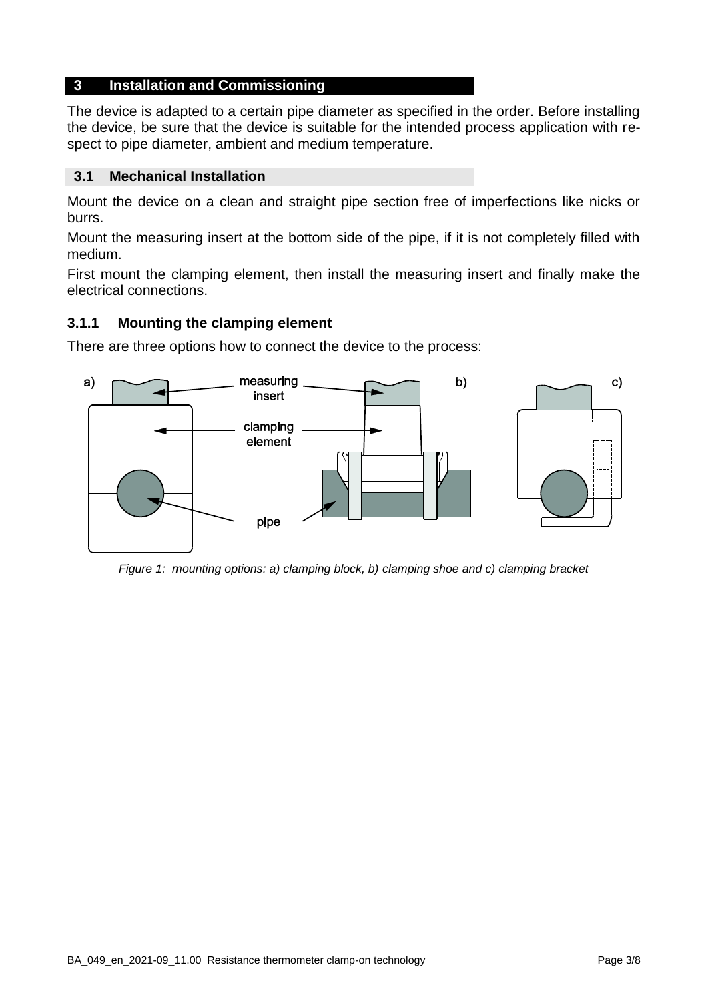# **3 Installation and Commissioning**

The device is adapted to a certain pipe diameter as specified in the order. Before installing the device, be sure that the device is suitable for the intended process application with respect to pipe diameter, ambient and medium temperature.

## **3.1 Mechanical Installation**

Mount the device on a clean and straight pipe section free of imperfections like nicks or burrs.

Mount the measuring insert at the bottom side of the pipe, if it is not completely filled with medium.

First mount the clamping element, then install the measuring insert and finally make the electrical connections.

# **3.1.1 Mounting the clamping element**

There are three options how to connect the device to the process:



*Figure 1: mounting options: a) clamping block, b) clamping shoe and c) clamping bracket*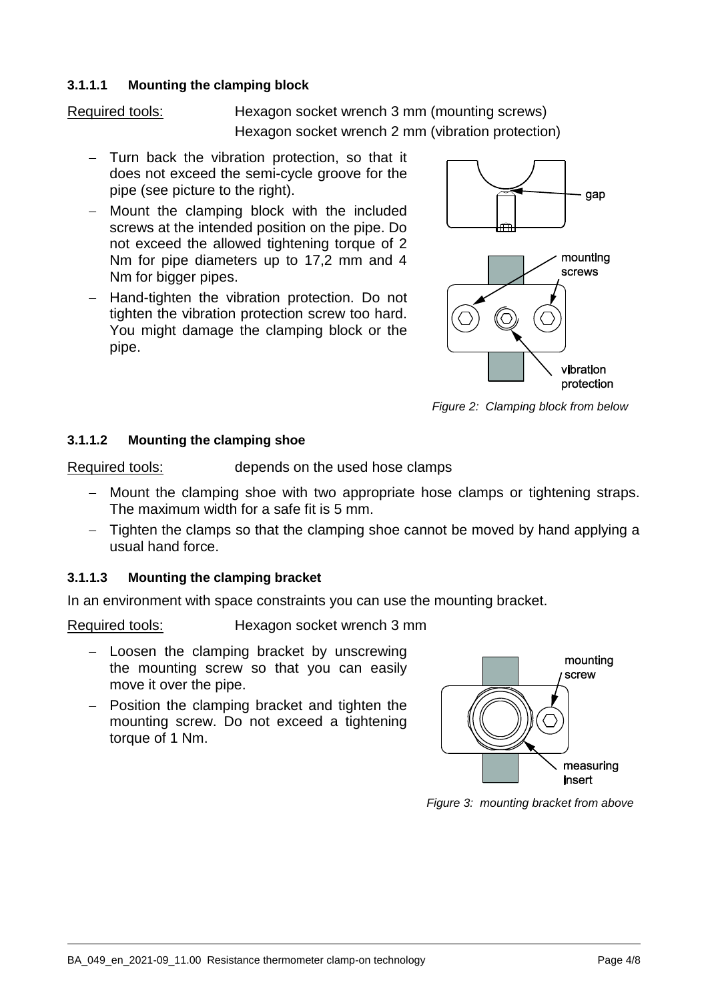#### **3.1.1.1 Mounting the clamping block**

Required tools: Hexagon socket wrench 3 mm (mounting screws) Hexagon socket wrench 2 mm (vibration protection)

- $-$  Turn back the vibration protection, so that it does not exceed the semi-cycle groove for the pipe (see picture to the right).
- Mount the clamping block with the included screws at the intended position on the pipe. Do not exceed the allowed tightening torque of 2 Nm for pipe diameters up to 17,2 mm and 4 Nm for bigger pipes.
- Hand-tighten the vibration protection. Do not tighten the vibration protection screw too hard. You might damage the clamping block or the pipe.



*Figure 2: Clamping block from below*

#### **3.1.1.2 Mounting the clamping shoe**

Required tools: depends on the used hose clamps

- Mount the clamping shoe with two appropriate hose clamps or tightening straps. The maximum width for a safe fit is 5 mm.
- Tighten the clamps so that the clamping shoe cannot be moved by hand applying a usual hand force.

# **3.1.1.3 Mounting the clamping bracket**

In an environment with space constraints you can use the mounting bracket.

Required tools: Hexagon socket wrench 3 mm

- Loosen the clamping bracket by unscrewing the mounting screw so that you can easily move it over the pipe.
- $-$  Position the clamping bracket and tighten the mounting screw. Do not exceed a tightening torque of 1 Nm.



*Figure 3: mounting bracket from above*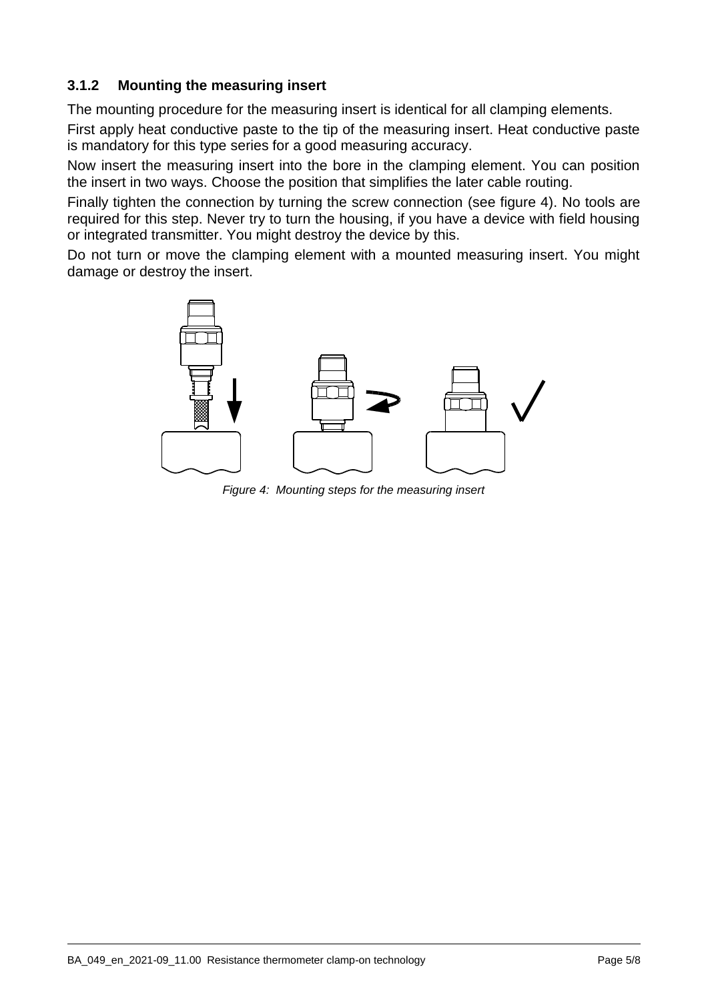# **3.1.2 Mounting the measuring insert**

The mounting procedure for the measuring insert is identical for all clamping elements.

First apply heat conductive paste to the tip of the measuring insert. Heat conductive paste is mandatory for this type series for a good measuring accuracy.

Now insert the measuring insert into the bore in the clamping element. You can position the insert in two ways. Choose the position that simplifies the later cable routing.

Finally tighten the connection by turning the screw connection [\(see figure 4\).](#page-4-0) No tools are required for this step. Never try to turn the housing, if you have a device with field housing or integrated transmitter. You might destroy the device by this.

<span id="page-4-0"></span>Do not turn or move the clamping element with a mounted measuring insert. You might damage or destroy the insert.



*Figure 4: Mounting steps for the measuring insert*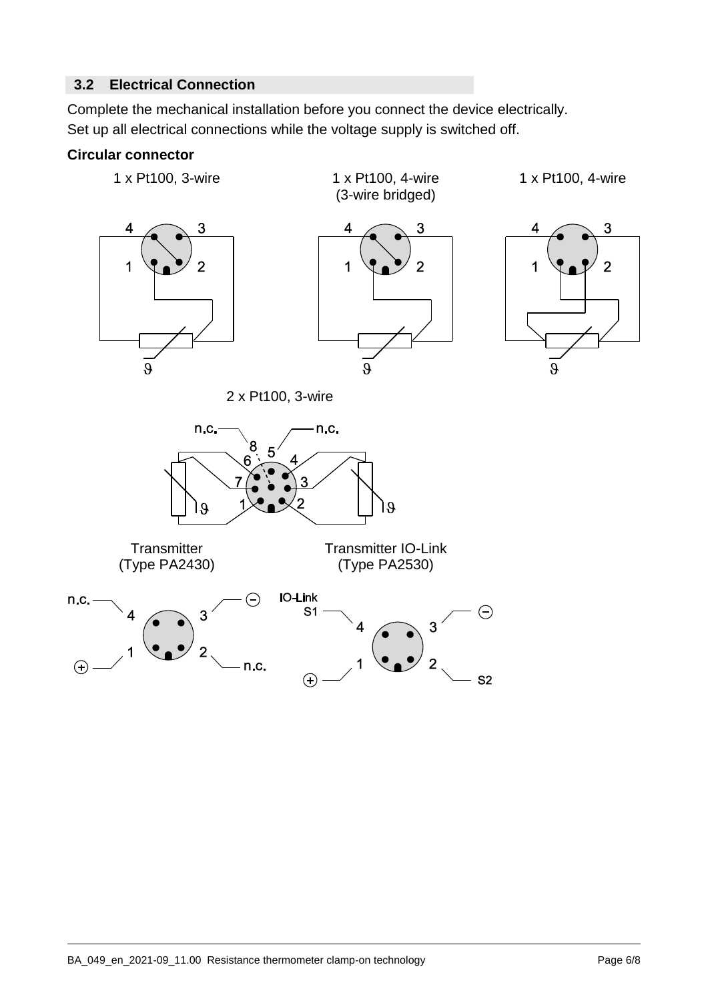# **3.2 Electrical Connection**

Complete the mechanical installation before you connect the device electrically. Set up all electrical connections while the voltage supply is switched off.

### **Circular connector**

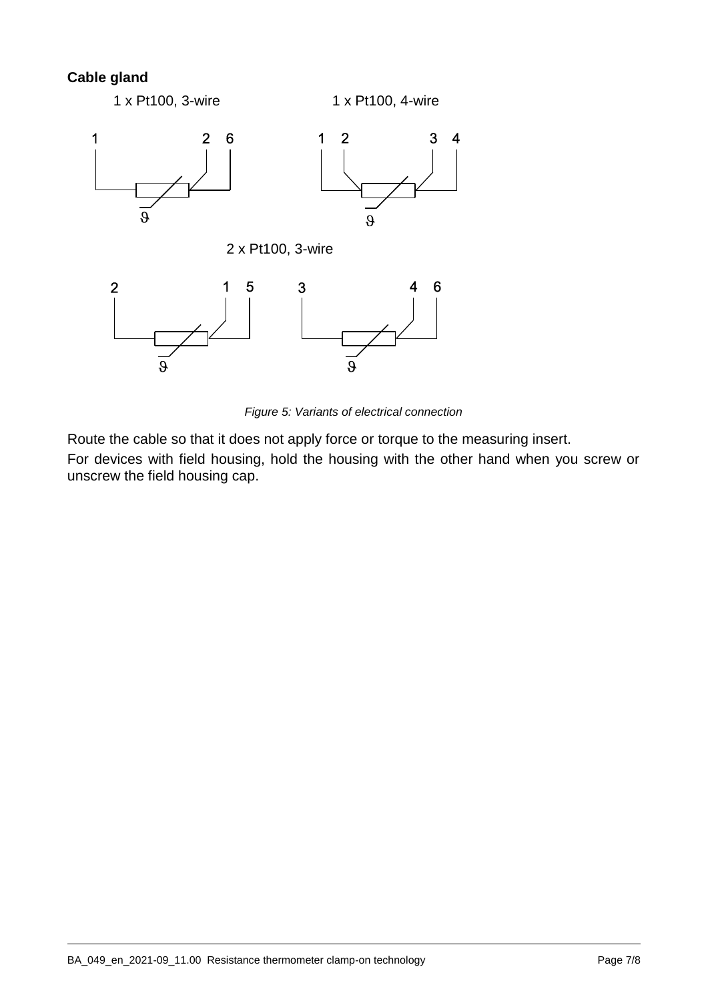# **Cable gland**



*Figure 5: Variants of electrical connection*

Route the cable so that it does not apply force or torque to the measuring insert. For devices with field housing, hold the housing with the other hand when you screw or unscrew the field housing cap.